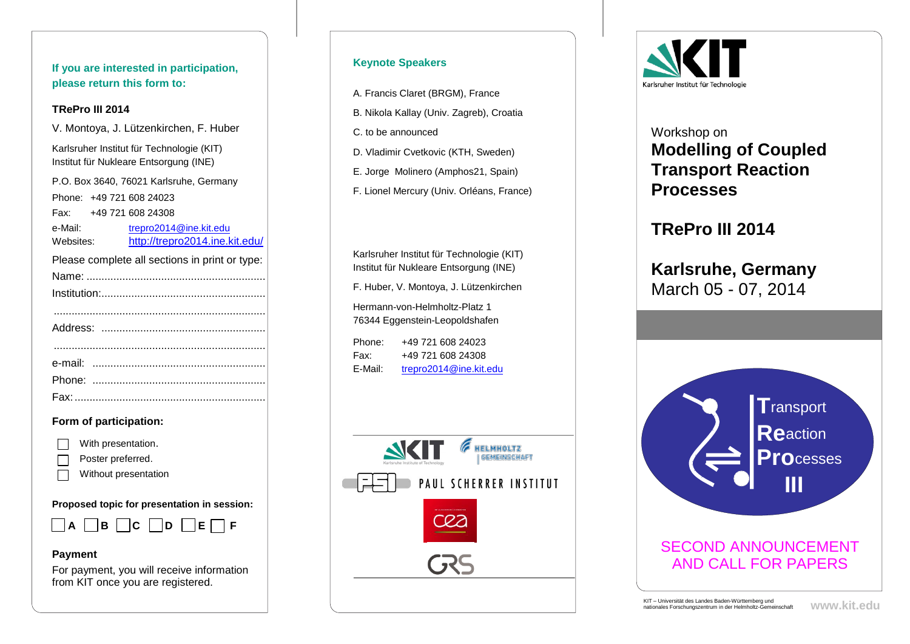**If you are interested in participation, please return this form to:**

#### **TRePro III 2014**

V. Montoya, J. Lützenkirchen, F. Huber

Karlsruher Institut für Technologie (KIT) Institut für Nukleare Entsorgung (INE)

P.O. Box 3640, 76021 Karlsruhe, Germany Phone: +49 721 608 24023 Fax: +49 721 608 24308 e-Mail: [trepro2014@ine.kit.edu](mailto:trepro2014@ine.kit.edu) Websites: <http://trepro2014.ine.kit.edu/>

Please complete all sections in print or type:

### **Form of participation:**

- With presentation.
- Poster preferred.
- Without presentation

**Proposed topic for presentation in session:**



#### **Payment**

For payment, you will receive information from KIT once you are registered.

## **Keynote Speakers**

A. Francis Claret (BRGM), France

- B. Nikola Kallay (Univ. Zagreb), Croatia
- C. to be announced
- D. Vladimir Cvetkovic (KTH, Sweden)
- E. Jorge Molinero (Amphos21, Spain)
- F. Lionel Mercury (Univ. Orléans, France)

Karlsruher Institut für Technologie (KIT) Institut für Nukleare Entsorgung (INE) F. Huber, V. Montoya, J. Lützenkirchen Hermann-von-Helmholtz-Platz 1

76344 Eggenstein-Leopoldshafen

| Phone:  | +49 721 608 24023      |
|---------|------------------------|
| Fax:    | +49 721 608 24308      |
| E-Mail: | trepro2014@ine.kit.edu |





# Workshop on **Modelling of Coupled Transport Reaction Processes**

# **TRePro III 2014**

# **Karlsruhe, Germany** March 05 - 07, 2014